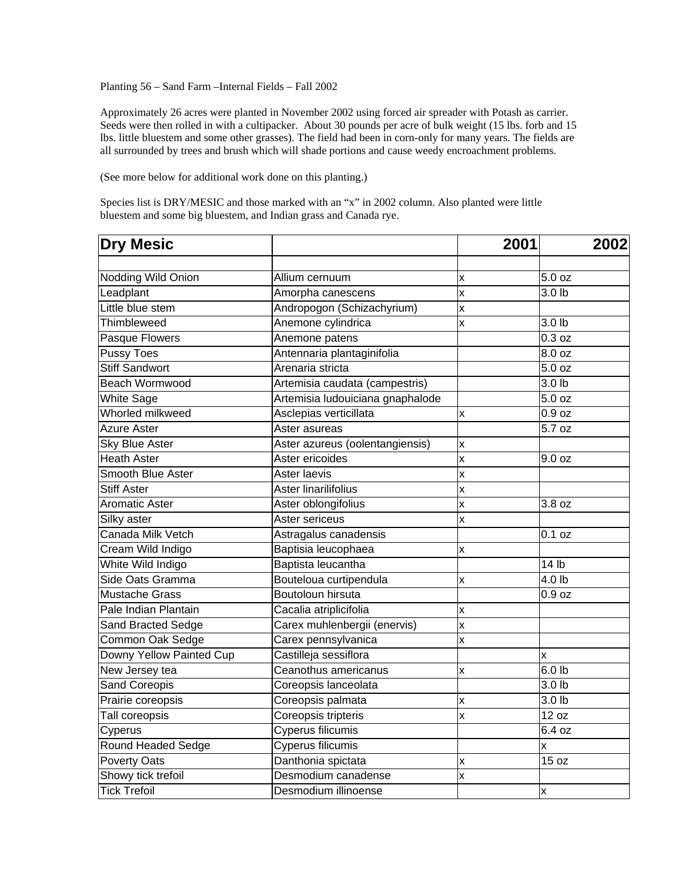Planting 56 – Sand Farm –Internal Fields – Fall 2002

Approximately 26 acres were planted in November 2002 using forced air spreader with Potash as carrier. Seeds were then rolled in with a cultipacker. About 30 pounds per acre of bulk weight (15 lbs. forb and 15 lbs. little bluestem and some other grasses). The field had been in corn-only for many years. The fields are all surrounded by trees and brush which will shade portions and cause weedy encroachment problems.

(See more below for additional work done on this planting.)

Species list is DRY/MESIC and those marked with an "x" in 2002 column. Also planted were little bluestem and some big bluestem, and Indian grass and Canada rye.

| <b>Dry Mesic</b>         |                                  | 2001                    | 2002                |
|--------------------------|----------------------------------|-------------------------|---------------------|
|                          |                                  |                         | 5.0 oz              |
| Nodding Wild Onion       | Allium cernuum                   | X                       | 3.0 <sub>lb</sub>   |
| Leadplant                | Amorpha canescens                | x                       |                     |
| Little blue stem         | Andropogon (Schizachyrium)       | X                       |                     |
| Thimbleweed              | Anemone cylindrica               | X                       | 3.0 <sub>lb</sub>   |
| Pasque Flowers           | Anemone patens                   |                         | $\overline{0.3}$ oz |
| <b>Pussy Toes</b>        | Antennaria plantaginifolia       |                         | $\overline{8.0}$ oz |
| <b>Stiff Sandwort</b>    | Arenaria stricta                 |                         | 5.0 oz              |
| Beach Wormwood           | Artemisia caudata (campestris)   |                         | 3.0 lb              |
| <b>White Sage</b>        | Artemisia ludouiciana gnaphalode |                         | 5.0 oz              |
| Whorled milkweed         | Asclepias verticillata           | x                       | 0.9 oz              |
| <b>Azure Aster</b>       | Aster asureas                    |                         | 5.7 oz              |
| <b>Sky Blue Aster</b>    | Aster azureus (oolentangiensis)  | x                       |                     |
| <b>Heath Aster</b>       | Aster ericoides                  | X                       | 9.0 oz              |
| Smooth Blue Aster        | Aster laevis                     | X                       |                     |
| <b>Stiff Aster</b>       | Aster linarilifolius             | X                       |                     |
| <b>Aromatic Aster</b>    | Aster oblongifolius              | X                       | 3.8 oz              |
| Silky aster              | Aster sericeus                   | X                       |                     |
| Canada Milk Vetch        | Astragalus canadensis            |                         | 0.1 oz              |
| Cream Wild Indigo        | Baptisia leucophaea              | x                       |                     |
| White Wild Indigo        | Baptista leucantha               |                         | 14 <sub>lb</sub>    |
| Side Oats Gramma         | Bouteloua curtipendula           | x                       | 4.0 <sub>lb</sub>   |
| <b>Mustache Grass</b>    | Boutoloun hirsuta                |                         | 0.9 oz              |
| Pale Indian Plantain     | Cacalia atriplicifolia           | X                       |                     |
| Sand Bracted Sedge       | Carex muhlenbergii (enervis)     | $\overline{\mathsf{x}}$ |                     |
| Common Oak Sedge         | Carex pennsylvanica              | X                       |                     |
| Downy Yellow Painted Cup | Castilleja sessiflora            |                         | X                   |
| New Jersey tea           | Ceanothus americanus             | x                       | $6.0$ lb            |
| <b>Sand Coreopis</b>     | Coreopsis lanceolata             |                         | 3.0 <sub>lb</sub>   |
| Prairie coreopsis        | Coreopsis palmata                | x                       | 3.0 <sub>lb</sub>   |
| Tall coreopsis           | Coreopsis tripteris              | X                       | 12 oz               |
| Cyperus                  | <b>Cyperus filicumis</b>         |                         | 6.4 oz              |
| Round Headed Sedge       | Cyperus filicumis                |                         | x                   |
| <b>Poverty Oats</b>      | Danthonia spictata               | X                       | 15 oz               |
| Showy tick trefoil       | Desmodium canadense              | $\overline{\mathsf{x}}$ |                     |
| <b>Tick Trefoil</b>      | Desmodium illinoense             |                         | $\pmb{\mathsf{x}}$  |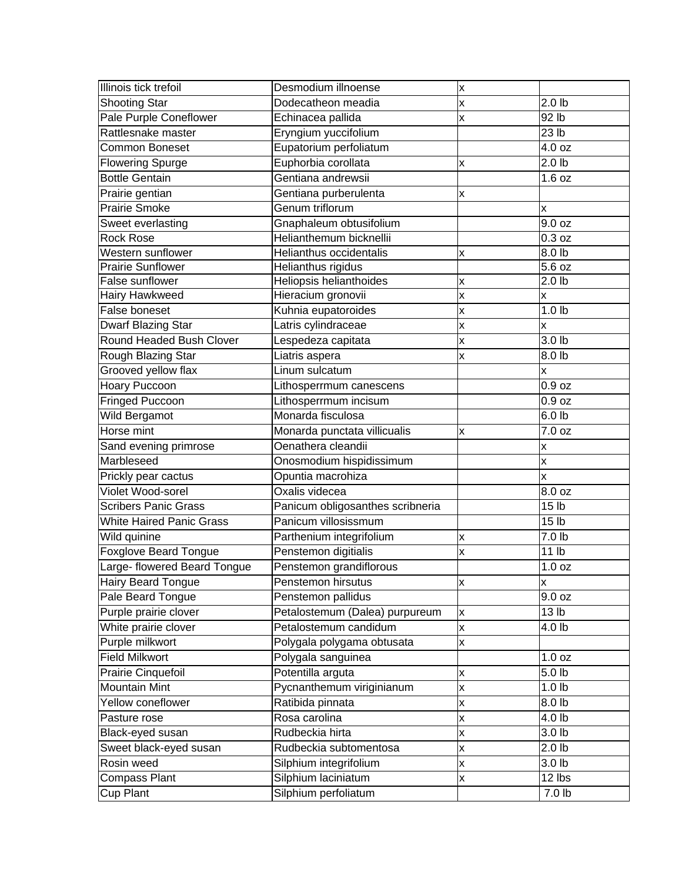| Illinois tick trefoil           | Desmodium illnoense              | Χ |                         |
|---------------------------------|----------------------------------|---|-------------------------|
| <b>Shooting Star</b>            | Dodecatheon meadia               |   | 2.0 <sub>lb</sub>       |
| Pale Purple Coneflower          | Echinacea pallida                | x | 92 lb                   |
| Rattlesnake master              | Eryngium yuccifolium             |   | 23 lb                   |
| <b>Common Boneset</b>           | Eupatorium perfoliatum           |   | 4.0 oz                  |
| <b>Flowering Spurge</b>         | Euphorbia corollata              | x | 2.0 <sub>lb</sub>       |
| <b>Bottle Gentain</b>           | Gentiana andrewsii               |   | 1.6 oz                  |
| Prairie gentian                 | Gentiana purberulenta            | X |                         |
| <b>Prairie Smoke</b>            | Genum triflorum                  |   | X                       |
| Sweet everlasting               | Gnaphaleum obtusifolium          |   | 9.0 oz                  |
| <b>Rock Rose</b>                | Helianthemum bicknellii          |   | 0.3 oz                  |
| Western sunflower               | Helianthus occidentalis          | x | 8.0 lb                  |
| <b>Prairie Sunflower</b>        | Helianthus rigidus               |   | $\overline{5.6}$ oz     |
| False sunflower                 | Heliopsis helianthoides          | x | 2.0 <sub>lb</sub>       |
| Hairy Hawkweed                  | Hieracium gronovii               | X | X                       |
| False boneset                   | Kuhnia eupatoroides              | X | 1.0 <sub>lb</sub>       |
| Dwarf Blazing Star              | Latris cylindraceae              | x | X                       |
| Round Headed Bush Clover        | Lespedeza capitata               | X | 3.0 h                   |
| Rough Blazing Star              | Liatris aspera                   | x | 8.0 lb                  |
| Grooved yellow flax             | Linum sulcatum                   |   | X                       |
| Hoary Puccoon                   | Lithosperrmum canescens          |   | 0.9 oz                  |
| Fringed Puccoon                 | Lithosperrmum incisum            |   | 0.9 oz                  |
| Wild Bergamot                   | Monarda fisculosa                |   | 6.0 lb                  |
| Horse mint                      | Monarda punctata villicualis     | x | $7.0$ oz                |
| Sand evening primrose           | Oenathera cleandii               |   | X                       |
| Marbleseed                      | Onosmodium hispidissimum         |   | $\overline{\mathsf{x}}$ |
| Prickly pear cactus             | Opuntia macrohiza                |   | x                       |
| Violet Wood-sorel               | Oxalis videcea                   |   | $\overline{8.0}$ oz     |
| <b>Scribers Panic Grass</b>     | Panicum obligosanthes scribneria |   | 15 <sub>1b</sub>        |
| <b>White Haired Panic Grass</b> | Panicum villosissmum             |   | 15 <sub>lb</sub>        |
| Wild quinine                    | Parthenium integrifolium         | X | 7.0 lb                  |
| Foxglove Beard Tongue           | Penstemon digitialis             | x | $\overline{11}$ lb      |
| Large- flowered Beard Tongue    | Penstemon grandiflorous          |   | 1.0 oz                  |
| <b>Hairy Beard Tongue</b>       | Penstemon hirsutus               | x | x                       |
| Pale Beard Tongue               | Penstemon pallidus               |   | 9.0 oz                  |
| Purple prairie clover           | Petalostemum (Dalea) purpureum   | x | 13 <sub>lb</sub>        |
| White prairie clover            | Petalostemum candidum            | X | 4.0 lb                  |
| Purple milkwort                 | Polygala polygama obtusata       | X |                         |
| <b>Field Milkwort</b>           | Polygala sanguinea               |   | 1.0 oz                  |
| Prairie Cinquefoil              | Potentilla arguta                | X | 5.0 <sub>b</sub>        |
| Mountain Mint                   | Pycnanthemum viriginianum        | X | 1.0 <sub>b</sub>        |
| Yellow coneflower               | Ratibida pinnata                 | X | 8.0 lb                  |
| Pasture rose                    | Rosa carolina                    | X | 4.0 lb                  |
| Black-eyed susan                | Rudbeckia hirta                  | X | 3.0 lb                  |
| Sweet black-eyed susan          | Rudbeckia subtomentosa           | X | 2.0 <sub>lb</sub>       |
| Rosin weed                      | Silphium integrifolium           | x | 3.0 <sub>b</sub>        |
| Compass Plant                   | Silphium laciniatum              | x | 12 lbs                  |
| Cup Plant                       | Silphium perfoliatum             |   | 7.0 lb                  |
|                                 |                                  |   |                         |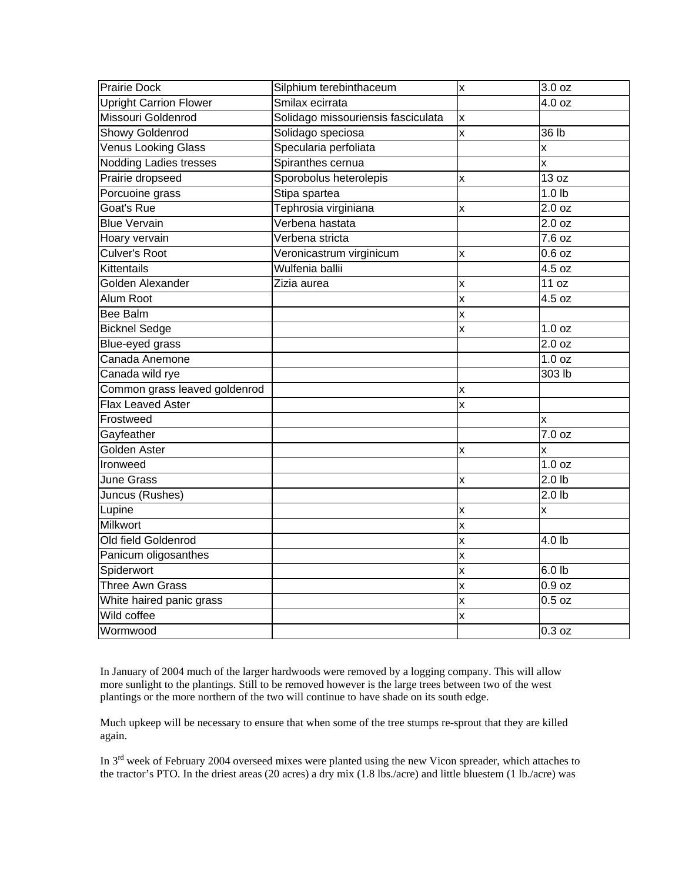| <b>Prairie Dock</b>           | Silphium terebinthaceum            | x | 3.0 oz                  |
|-------------------------------|------------------------------------|---|-------------------------|
| <b>Upright Carrion Flower</b> | Smilax ecirrata                    |   | 4.0 oz                  |
| Missouri Goldenrod            | Solidago missouriensis fasciculata | x |                         |
| Showy Goldenrod               | Solidago speciosa                  | x | 36 lb                   |
| Venus Looking Glass           | Specularia perfoliata              |   | X                       |
| <b>Nodding Ladies tresses</b> | Spiranthes cernua                  |   | X                       |
| Prairie dropseed              | Sporobolus heterolepis             | x | 13 oz                   |
| Porcuoine grass               | Stipa spartea                      |   | 1.0 <sub>lb</sub>       |
| Goat's Rue                    | Tephrosia virginiana               | X | 2.0 oz                  |
| <b>Blue Vervain</b>           | Verbena hastata                    |   | 2.0 oz                  |
| Hoary vervain                 | Verbena stricta                    |   | 7.6 oz                  |
| Culver's Root                 | Veronicastrum virginicum           | x | $0.6$ oz                |
| Kittentails                   | Wulfenia ballii                    |   | 4.5 oz                  |
| Golden Alexander              | Zizia aurea                        | X | 11 oz                   |
| Alum Root                     |                                    | X | 4.5 oz                  |
| <b>Bee Balm</b>               |                                    | X |                         |
| <b>Bicknel Sedge</b>          |                                    | x | 1.0 oz                  |
| Blue-eyed grass               |                                    |   | 2.0 oz                  |
| Canada Anemone                |                                    |   | 1.0 oz                  |
| Canada wild rye               |                                    |   | 303 lb                  |
| Common grass leaved goldenrod |                                    | x |                         |
| Flax Leaved Aster             |                                    | x |                         |
| Frostweed                     |                                    |   | X                       |
| Gayfeather                    |                                    |   | 7.0 oz                  |
| Golden Aster                  |                                    | x | X                       |
| Ironweed                      |                                    |   | 1.0 oz                  |
| <b>June Grass</b>             |                                    | x | 2.0 <sub>lb</sub>       |
| Juncus (Rushes)               |                                    |   | 2.0 <sub>lb</sub>       |
| Lupine                        |                                    | X | $\overline{\mathsf{x}}$ |
| <b>Milkwort</b>               |                                    | X |                         |
| Old field Goldenrod           |                                    | X | 4.0 lb                  |
| Panicum oligosanthes          |                                    | x |                         |
| Spiderwort                    |                                    | x | 6.0 lb                  |
| Three Awn Grass               |                                    | x | 0.9 oz                  |
| White haired panic grass      |                                    | x | $0.5$ oz                |
| Wild coffee                   |                                    | X |                         |
| Wormwood                      |                                    |   | 0.3 oz                  |

In January of 2004 much of the larger hardwoods were removed by a logging company. This will allow more sunlight to the plantings. Still to be removed however is the large trees between two of the west plantings or the more northern of the two will continue to have shade on its south edge.

Much upkeep will be necessary to ensure that when some of the tree stumps re-sprout that they are killed again.

In 3rd week of February 2004 overseed mixes were planted using the new Vicon spreader, which attaches to the tractor's PTO. In the driest areas (20 acres) a dry mix (1.8 lbs./acre) and little bluestem (1 lb./acre) was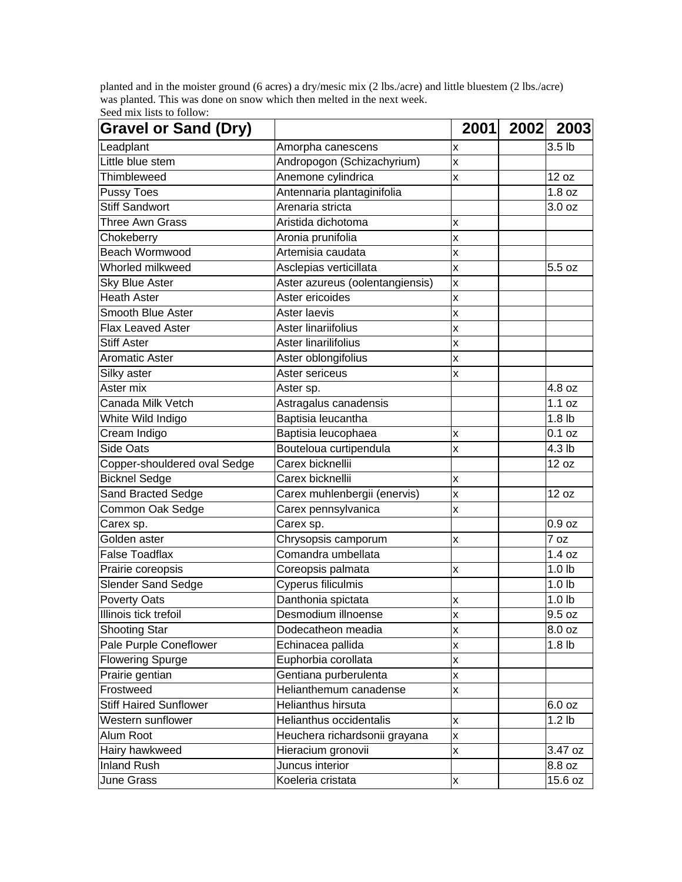planted and in the moister ground (6 acres) a dry/mesic mix (2 lbs./acre) and little bluestem (2 lbs./acre) was planted. This was done on snow which then melted in the next week. Seed mix lists to follow:

| <b>Gravel or Sand (Dry)</b>   |                                 | 2001                    | 2002 2003         |  |
|-------------------------------|---------------------------------|-------------------------|-------------------|--|
| Leadplant                     | Amorpha canescens               | X                       | 3.5 lb            |  |
| Little blue stem              | Andropogon (Schizachyrium)      | X                       |                   |  |
| Thimbleweed                   | Anemone cylindrica              | $\overline{\mathsf{x}}$ | 12 oz             |  |
| Pussy Toes                    | Antennaria plantaginifolia      |                         | 1.8 oz            |  |
| <b>Stiff Sandwort</b>         | Arenaria stricta                |                         | 3.0 oz            |  |
| Three Awn Grass               | Aristida dichotoma              | X                       |                   |  |
| Chokeberry                    | Aronia prunifolia               | X                       |                   |  |
| Beach Wormwood                | Artemisia caudata               | X                       |                   |  |
| Whorled milkweed              | Asclepias verticillata          | X                       | 5.5 oz            |  |
| <b>Sky Blue Aster</b>         | Aster azureus (oolentangiensis) | X                       |                   |  |
| <b>Heath Aster</b>            | Aster ericoides                 | X                       |                   |  |
| Smooth Blue Aster             | Aster laevis                    | X                       |                   |  |
| Flax Leaved Aster             | Aster linariifolius             | X                       |                   |  |
| <b>Stiff Aster</b>            | Aster linarilifolius            | X                       |                   |  |
| <b>Aromatic Aster</b>         | Aster oblongifolius             | X                       |                   |  |
| Silky aster                   | Aster sericeus                  | X                       |                   |  |
| Aster mix                     | Aster sp.                       |                         | 4.8 oz            |  |
| Canada Milk Vetch             | Astragalus canadensis           |                         | 1.1 oz            |  |
| White Wild Indigo             | Baptisia leucantha              |                         | 1.8 <sub>lb</sub> |  |
| Cream Indigo                  | Baptisia leucophaea             | X                       | 0.1 oz            |  |
| <b>Side Oats</b>              | Bouteloua curtipendula          | X                       | 4.3 <sub>lb</sub> |  |
| Copper-shouldered oval Sedge  | Carex bicknellii                |                         | 12 oz             |  |
| <b>Bicknel Sedge</b>          | Carex bicknellii                | X                       |                   |  |
| Sand Bracted Sedge            | Carex muhlenbergii (enervis)    | X                       | 12 oz             |  |
| Common Oak Sedge              | Carex pennsylvanica             | X                       |                   |  |
| Carex sp.                     | Carex sp.                       |                         | 0.9 oz            |  |
| Golden aster                  | Chrysopsis camporum             | X                       | 7 oz              |  |
| <b>False Toadflax</b>         | Comandra umbellata              |                         | 1.4 oz            |  |
| Prairie coreopsis             | Coreopsis palmata               | X                       | 1.0 <sub>b</sub>  |  |
| <b>Slender Sand Sedge</b>     | Cyperus filiculmis              |                         | 1.0 <sub>lb</sub> |  |
| <b>Poverty Oats</b>           | Danthonia spictata              | X                       | 1.0 <sub>b</sub>  |  |
| Illinois tick trefoil         | Desmodium illnoense             | $\overline{\mathsf{x}}$ | 9.5 oz            |  |
| <b>Shooting Star</b>          | Dodecatheon meadia              | X                       | 8.0 oz            |  |
| Pale Purple Coneflower        | Echinacea pallida               | $\overline{\mathsf{x}}$ | 1.8 <sub>lb</sub> |  |
| <b>Flowering Spurge</b>       | Euphorbia corollata             | X                       |                   |  |
| Prairie gentian               | Gentiana purberulenta           | X                       |                   |  |
| Frostweed                     | Helianthemum canadense          | X                       |                   |  |
| <b>Stiff Haired Sunflower</b> | Helianthus hirsuta              |                         | 6.0 oz            |  |
| Western sunflower             | Helianthus occidentalis         | X                       | 1.2 <sub>lb</sub> |  |
| Alum Root                     | Heuchera richardsonii grayana   | x                       |                   |  |
| Hairy hawkweed                | Hieracium gronovii              | X                       | 3.47 oz           |  |
| <b>Inland Rush</b>            | Juncus interior                 |                         | 8.8 oz            |  |
| June Grass                    | Koeleria cristata               | X                       | 15.6 oz           |  |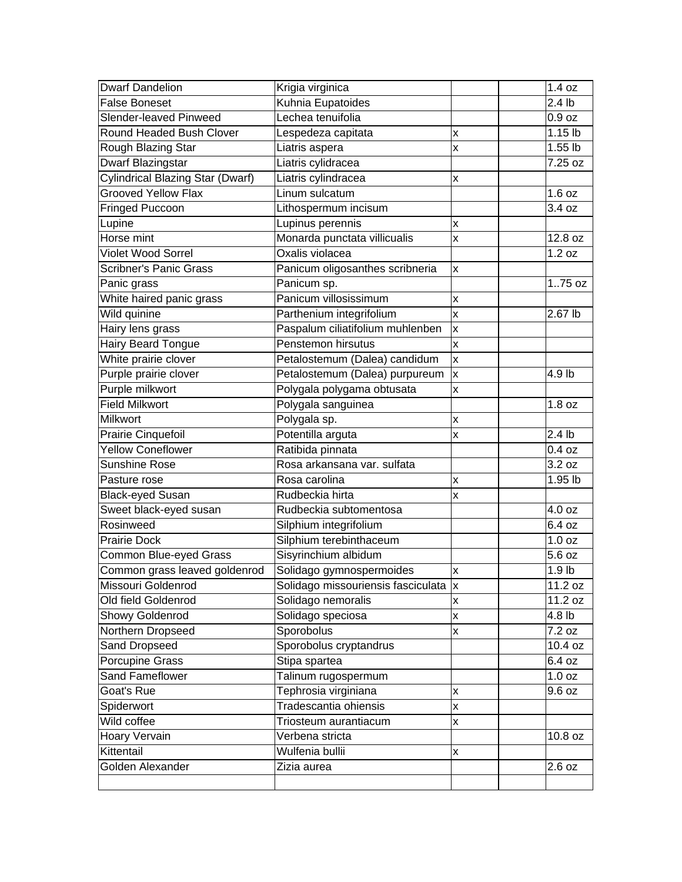| <b>Dwarf Dandelion</b>                  | Krigia virginica                      |                         | 1.4 oz            |
|-----------------------------------------|---------------------------------------|-------------------------|-------------------|
| <b>False Boneset</b>                    | Kuhnia Eupatoides                     |                         | 2.4 <sub>lb</sub> |
| Slender-leaved Pinweed                  | Lechea tenuifolia                     |                         | 0.9 oz            |
| Round Headed Bush Clover                | Lespedeza capitata                    | X                       | $1.15$ lb         |
| Rough Blazing Star                      | Liatris aspera                        | X                       | 1.55 lb           |
| Dwarf Blazingstar                       | Liatris cylidracea                    |                         | 7.25 oz           |
| <b>Cylindrical Blazing Star (Dwarf)</b> | Liatris cylindracea                   | Χ                       |                   |
| <b>Grooved Yellow Flax</b>              | Linum sulcatum                        |                         | 1.6 oz            |
| Fringed Puccoon                         | Lithospermum incisum                  |                         | 3.4 oz            |
| Lupine                                  | Lupinus perennis                      | X                       |                   |
| Horse mint                              | Monarda punctata villicualis          | X                       | 12.8 oz           |
| Violet Wood Sorrel                      | Oxalis violacea                       |                         | 1.2 oz            |
| <b>Scribner's Panic Grass</b>           | Panicum oligosanthes scribneria       | X                       |                   |
| Panic grass                             | Panicum sp.                           |                         | 175 oz            |
| White haired panic grass                | Panicum villosissimum                 | X                       |                   |
| Wild quinine                            | Parthenium integrifolium              | $\overline{\mathsf{x}}$ | 2.67 lb           |
| Hairy lens grass                        | Paspalum ciliatifolium muhlenben      | X                       |                   |
| Hairy Beard Tongue                      | Penstemon hirsutus                    | X                       |                   |
| White prairie clover                    | Petalostemum (Dalea) candidum         | $\overline{\mathsf{x}}$ |                   |
| Purple prairie clover                   | Petalostemum (Dalea) purpureum        | $\overline{\mathsf{x}}$ | 4.9 lb            |
| Purple milkwort                         | Polygala polygama obtusata            | X                       |                   |
| <b>Field Milkwort</b>                   | Polygala sanguinea                    |                         | 1.8 oz            |
| <b>Milkwort</b>                         | Polygala sp.                          | X                       |                   |
| Prairie Cinquefoil                      | Potentilla arguta                     | X                       | 2.4 <sub>lb</sub> |
| Yellow Coneflower                       | Ratibida pinnata                      |                         | 0.4 oz            |
| <b>Sunshine Rose</b>                    | Rosa arkansana var. sulfata           |                         | 3.2 oz            |
| Pasture rose                            | Rosa carolina                         | Χ                       | 1.95 lb           |
| <b>Black-eyed Susan</b>                 | Rudbeckia hirta                       | X                       |                   |
| Sweet black-eyed susan                  | Rudbeckia subtomentosa                |                         | 4.0 oz            |
| Rosinweed                               | Silphium integrifolium                |                         | 6.4 oz            |
| <b>Prairie Dock</b>                     | Silphium terebinthaceum               |                         | 1.0 oz            |
| Common Blue-eyed Grass                  | Sisyrinchium albidum                  |                         | 5.6 oz            |
| Common grass leaved goldenrod           | Solidago gymnospermoides              | X                       | 1.9 <sub>lb</sub> |
| Missouri Goldenrod                      | Solidago missouriensis fasciculata  x |                         | 11.2 oz           |
| Old field Goldenrod                     | Solidago nemoralis                    | X                       | 11.2 oz           |
| Showy Goldenrod                         | Solidago speciosa                     | X                       | 4.8 lb            |
| Northern Dropseed                       | Sporobolus                            | X                       | 7.2 oz            |
| Sand Dropseed                           | Sporobolus cryptandrus                |                         | 10.4 oz           |
| Porcupine Grass                         | Stipa spartea                         |                         | 6.4 oz            |
| Sand Fameflower                         | Talinum rugospermum                   |                         | 1.0 oz            |
| Goat's Rue                              | Tephrosia virginiana                  | X                       | 9.6 oz            |
| Spiderwort                              | Tradescantia ohiensis                 | X                       |                   |
| Wild coffee                             | Triosteum aurantiacum                 | X                       |                   |
| Hoary Vervain                           | Verbena stricta                       |                         | 10.8 oz           |
| Kittentail                              | Wulfenia bullii                       | Χ                       |                   |
| Golden Alexander                        | Zizia aurea                           |                         | 2.6 oz            |
|                                         |                                       |                         |                   |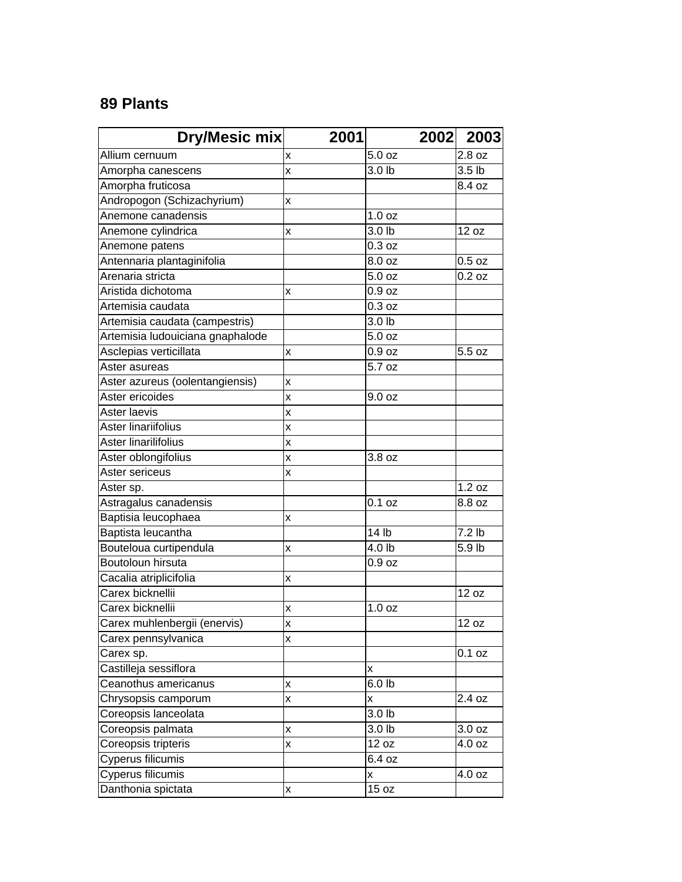## **89 Plants**

| <b>Dry/Mesic mix</b>             | 2001                    |                   | 2002 2003         |
|----------------------------------|-------------------------|-------------------|-------------------|
| Allium cernuum                   | x                       | 5.0 oz            | 2.8 oz            |
| Amorpha canescens                | x                       | 3.0 lb            | 3.5 <sub>lb</sub> |
| Amorpha fruticosa                |                         |                   | 8.4 oz            |
| Andropogon (Schizachyrium)       | x                       |                   |                   |
| Anemone canadensis               |                         | 1.0 <sub>oz</sub> |                   |
| Anemone cylindrica               | x                       | 3.0 lb            | 12 oz             |
| Anemone patens                   |                         | 0.3 oz            |                   |
| Antennaria plantaginifolia       |                         | 8.0 oz            | $0.5$ oz          |
| Arenaria stricta                 |                         | 5.0 oz            | 0.2 oz            |
| Aristida dichotoma               | x                       | 0.9 oz            |                   |
| Artemisia caudata                |                         | 0.3 oz            |                   |
| Artemisia caudata (campestris)   |                         | 3.0 lb            |                   |
| Artemisia ludouiciana gnaphalode |                         | 5.0 oz            |                   |
| Asclepias verticillata           | x                       | 0.9 <sub>oz</sub> | 5.5 oz            |
| Aster asureas                    |                         | 5.7 oz            |                   |
| Aster azureus (oolentangiensis)  | X                       |                   |                   |
| Aster ericoides                  | x                       | 9.0 oz            |                   |
| Aster laevis                     | X                       |                   |                   |
| Aster linariifolius              | X                       |                   |                   |
| Aster linarilifolius             | x                       |                   |                   |
| Aster oblongifolius              | x                       | 3.8 oz            |                   |
| Aster sericeus                   | X                       |                   |                   |
| Aster sp.                        |                         |                   | 1.2 oz            |
| Astragalus canadensis            |                         | 0.1 oz            | 8.8 oz            |
| Baptisia leucophaea              | X                       |                   |                   |
| Baptista leucantha               |                         | 14 lb             | $7.2$ lb          |
| Bouteloua curtipendula           | X                       | 4.0 lb            | 5.9 lb            |
| Boutoloun hirsuta                |                         | 0.9 <sub>oz</sub> |                   |
| Cacalia atriplicifolia           | Χ                       |                   |                   |
| Carex bicknellii                 |                         |                   | 12 oz             |
| Carex bicknellii                 | x                       | 1.0 oz            |                   |
| Carex muhlenbergii (enervis)     | $\overline{\mathsf{x}}$ |                   | 12 oz             |
| Carex pennsylvanica              | X                       |                   |                   |
| Carex sp.                        |                         |                   | 0.1 oz            |
| Castilleja sessiflora            |                         | x                 |                   |
| Ceanothus americanus             | x                       | 6.0 <sub>lb</sub> |                   |
| Chrysopsis camporum              | X                       | X                 | 2.4 oz            |
| Coreopsis lanceolata             |                         | 3.0 <sub>lb</sub> |                   |
| Coreopsis palmata                | X                       | 3.0 lb            | 3.0 oz            |
| Coreopsis tripteris              | X                       | 12 oz             | 4.0 oz            |
| Cyperus filicumis                |                         | 6.4 oz            |                   |
| Cyperus filicumis                |                         | x                 | 4.0 oz            |
| Danthonia spictata               | X                       | 15 oz             |                   |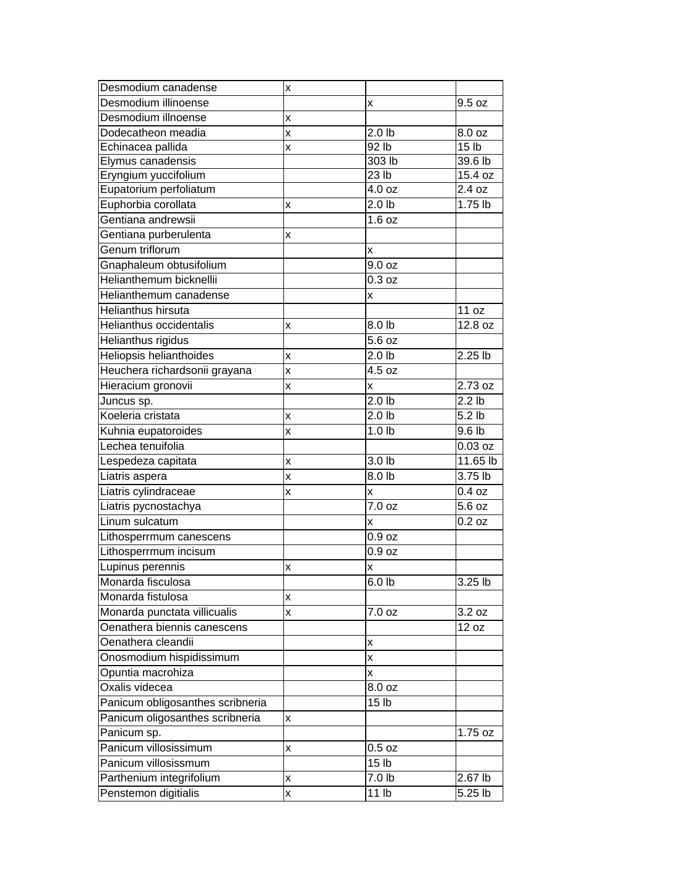| Desmodium canadense              | X |                   |                      |
|----------------------------------|---|-------------------|----------------------|
| Desmodium illinoense             |   | x                 | 9.5 oz               |
| Desmodium illnoense              | X |                   |                      |
| Dodecatheon meadia               | X | 2.0 <sub>lb</sub> | 8.0 oz               |
| Echinacea pallida                | X | 92 lb             | 15 <sub>lb</sub>     |
| Elymus canadensis                |   | 303 lb            | 39.6 lb              |
| Eryngium yuccifolium             |   | 23 lb             | 15.4 oz              |
| Eupatorium perfoliatum           |   | 4.0 oz            | 2.4 oz               |
| Euphorbia corollata              | x | 2.0 <sub>lb</sub> | 1.75 lb              |
| Gentiana andrewsii               |   | 1.6 oz            |                      |
| Gentiana purberulenta            | x |                   |                      |
| Genum triflorum                  |   | x                 |                      |
| Gnaphaleum obtusifolium          |   | 9.0 oz            |                      |
| Helianthemum bicknellii          |   | 0.3 oz            |                      |
| Helianthemum canadense           |   | x                 |                      |
| Helianthus hirsuta               |   |                   | 11 oz                |
| Helianthus occidentalis          | x | 8.0 lb            | 12.8 oz              |
| <b>Helianthus rigidus</b>        |   | 5.6 oz            |                      |
| Heliopsis helianthoides          | X | 2.0 <sub>b</sub>  | $2.25$ lb            |
| Heuchera richardsonii grayana    | X | 4.5 oz            |                      |
| Hieracium gronovii               | X | X                 | 2.73 oz              |
| Juncus sp.                       |   | 2.0 <sub>lb</sub> | 2.2 <sub>lb</sub>    |
| Koeleria cristata                | X | 2.0 <sub>b</sub>  | $\overline{5.2}$ lb  |
| Kuhnia eupatoroides              | x | 1.0 <sub>lb</sub> | 9.6 <sub>lb</sub>    |
| Lechea tenuifolia                |   |                   | 0.03 oz              |
| Lespedeza capitata               | Χ | 3.0 lb            | 11.65 lb             |
| Liatris aspera                   | X | 8.0 lb            | 3.75 lb              |
| Liatris cylindraceae             | x | x                 | 0.4 oz               |
| Liatris pycnostachya             |   | 7.0 oz            | 5.6 oz               |
| Linum sulcatum                   |   | x                 | $0.2$ oz             |
| Lithosperrmum canescens          |   | 0.9 <sub>oz</sub> |                      |
| Lithosperrmum incisum            |   | 0.9 <sub>oz</sub> |                      |
| Lupinus perennis                 | x | X                 |                      |
| Monarda fisculosa                |   | 6.0 h             | $3.25$ lb            |
| Monarda fistulosa                | x |                   |                      |
| Monarda punctata villicualis     | x | 7.0 oz            | 3.2 oz               |
| Oenathera biennis canescens      |   |                   | 12 oz                |
| Oenathera cleandii               |   | X                 |                      |
| Onosmodium hispidissimum         |   | X                 |                      |
| Opuntia macrohiza                |   | x                 |                      |
| Oxalis videcea                   |   | 8.0 oz            |                      |
| Panicum obligosanthes scribneria |   | 15 lb             |                      |
| Panicum oligosanthes scribneria  | x |                   |                      |
| Panicum sp.                      |   |                   | 1.75 oz              |
| Panicum villosissimum            | x | $0.5$ oz          |                      |
| Panicum villosissmum             |   | 15 <sub>lb</sub>  |                      |
|                                  |   | 7.0 lb            | 2.67 lb              |
| Parthenium integrifolium         | x |                   |                      |
| Penstemon digitialis             | X | 11 <sub>lb</sub>  | $\overline{5.25}$ lb |